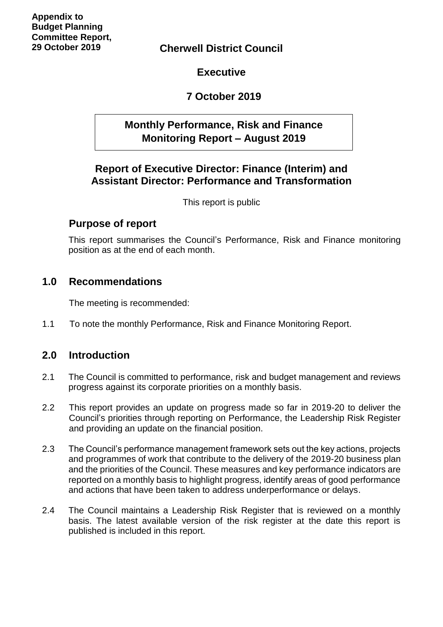**Cherwell District Council**

**Executive**

## **7 October 2019**

## **Monthly Performance, Risk and Finance Monitoring Report – August 2019**

## **Report of Executive Director: Finance (Interim) and Assistant Director: Performance and Transformation**

This report is public

## **Purpose of report**

This report summarises the Council's Performance, Risk and Finance monitoring position as at the end of each month.

## **1.0 Recommendations**

The meeting is recommended:

1.1 To note the monthly Performance, Risk and Finance Monitoring Report.

## **2.0 Introduction**

- 2.1 The Council is committed to performance, risk and budget management and reviews progress against its corporate priorities on a monthly basis.
- 2.2 This report provides an update on progress made so far in 2019-20 to deliver the Council's priorities through reporting on Performance, the Leadership Risk Register and providing an update on the financial position.
- 2.3 The Council's performance management framework sets out the key actions, projects and programmes of work that contribute to the delivery of the 2019-20 business plan and the priorities of the Council. These measures and key performance indicators are reported on a monthly basis to highlight progress, identify areas of good performance and actions that have been taken to address underperformance or delays.
- 2.4 The Council maintains a Leadership Risk Register that is reviewed on a monthly basis. The latest available version of the risk register at the date this report is published is included in this report.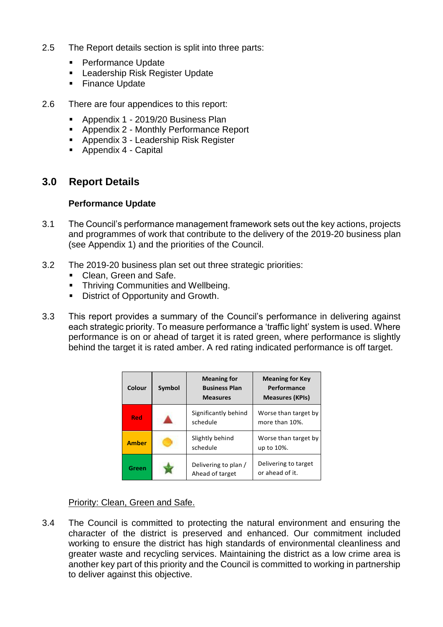- 2.5 The Report details section is split into three parts:
	- Performance Update
	- Leadership Risk Register Update
	- Finance Update
- 2.6 There are four appendices to this report:
	- Appendix 1 2019/20 Business Plan
	- Appendix 2 Monthly Performance Report
	- Appendix 3 Leadership Risk Register
	- Appendix 4 Capital

## **3.0 Report Details**

### **Performance Update**

- 3.1 The Council's performance management framework sets out the key actions, projects and programmes of work that contribute to the delivery of the 2019-20 business plan (see Appendix 1) and the priorities of the Council.
- 3.2 The 2019-20 business plan set out three strategic priorities:
	- Clean, Green and Safe.
	- **Thriving Communities and Wellbeing.**
	- District of Opportunity and Growth.
- 3.3 This report provides a summary of the Council's performance in delivering against each strategic priority. To measure performance a 'traffic light' system is used. Where performance is on or ahead of target it is rated green, where performance is slightly behind the target it is rated amber. A red rating indicated performance is off target.

| Colour       | Symbol | <b>Meaning for</b><br><b>Business Plan</b><br><b>Measures</b> | <b>Meaning for Key</b><br>Performance<br><b>Measures (KPIs)</b> |
|--------------|--------|---------------------------------------------------------------|-----------------------------------------------------------------|
| <b>Red</b>   |        | Significantly behind<br>schedule                              | Worse than target by<br>more than 10%.                          |
| <b>Amber</b> |        | Slightly behind<br>schedule                                   | Worse than target by<br>up to 10%.                              |
| Green        |        | Delivering to plan /<br>Ahead of target                       | Delivering to target<br>or ahead of it.                         |

### Priority: Clean, Green and Safe.

3.4 The Council is committed to protecting the natural environment and ensuring the character of the district is preserved and enhanced. Our commitment included working to ensure the district has high standards of environmental cleanliness and greater waste and recycling services. Maintaining the district as a low crime area is another key part of this priority and the Council is committed to working in partnership to deliver against this objective.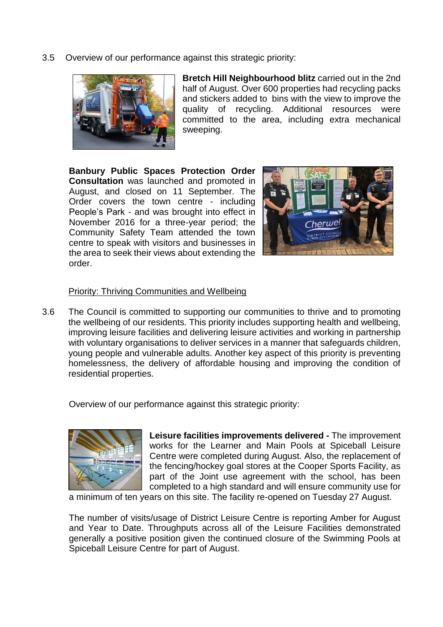3.5 Overview of our performance against this strategic priority:



**Bretch Hill Neighbourhood blitz** carried out in the 2nd half of August. Over 600 properties had recycling packs and stickers added to bins with the view to improve the quality of recycling. Additional resources were committed to the area, including extra mechanical sweeping.

**Banbury Public Spaces Protection Order Consultation** was launched and promoted in August, and closed on 11 September. The Order covers the town centre - including People's Park - and was brought into effect in November 2016 for a three-year period; the Community Safety Team attended the town centre to speak with visitors and businesses in the area to seek their views about extending the order.



### Priority: Thriving Communities and Wellbeing

3.6 The Council is committed to supporting our communities to thrive and to promoting the wellbeing of our residents. This priority includes supporting health and wellbeing, improving leisure facilities and delivering leisure activities and working in partnership with voluntary organisations to deliver services in a manner that safeguards children, young people and vulnerable adults. Another key aspect of this priority is preventing homelessness, the delivery of affordable housing and improving the condition of residential properties.

Overview of our performance against this strategic priority:



**Leisure facilities improvements delivered -** The improvement works for the Learner and Main Pools at Spiceball Leisure Centre were completed during August. Also, the replacement of the fencing/hockey goal stores at the Cooper Sports Facility, as part of the Joint use agreement with the school, has been completed to a high standard and will ensure community use for

a minimum of ten years on this site. The facility re-opened on Tuesday 27 August.

The number of visits/usage of District Leisure Centre is reporting Amber for August and Year to Date. Throughputs across all of the Leisure Facilities demonstrated generally a positive position given the continued closure of the Swimming Pools at Spiceball Leisure Centre for part of August.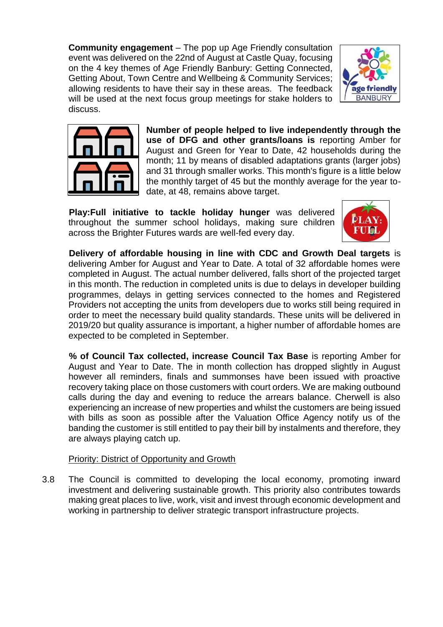**Community engagement** – The pop up Age Friendly consultation event was delivered on the 22nd of August at Castle Quay, focusing on the 4 key themes of Age Friendly Banbury: Getting Connected, Getting About, Town Centre and Wellbeing & Community Services; allowing residents to have their say in these areas. The feedback will be used at the next focus group meetings for stake holders to discuss.





**Number of people helped to live independently through the use of DFG and other grants/loans is** reporting Amber for August and Green for Year to Date, 42 households during the month; 11 by means of disabled adaptations grants (larger jobs) and 31 through smaller works. This month's figure is a little below the monthly target of 45 but the monthly average for the year todate, at 48, remains above target.

**Play:Full initiative to tackle holiday hunger** was delivered throughout the summer school holidays, making sure children across the Brighter Futures wards are well-fed every day.



**Delivery of affordable housing in line with CDC and Growth Deal targets** is delivering Amber for August and Year to Date. A total of 32 affordable homes were completed in August. The actual number delivered, falls short of the projected target in this month. The reduction in completed units is due to delays in developer building programmes, delays in getting services connected to the homes and Registered Providers not accepting the units from developers due to works still being required in order to meet the necessary build quality standards. These units will be delivered in 2019/20 but quality assurance is important, a higher number of affordable homes are expected to be completed in September.

**% of Council Tax collected, increase Council Tax Base** is reporting Amber for August and Year to Date. The in month collection has dropped slightly in August however all reminders, finals and summonses have been issued with proactive recovery taking place on those customers with court orders. We are making outbound calls during the day and evening to reduce the arrears balance. Cherwell is also experiencing an increase of new properties and whilst the customers are being issued with bills as soon as possible after the Valuation Office Agency notify us of the banding the customer is still entitled to pay their bill by instalments and therefore, they are always playing catch up.

### Priority: District of Opportunity and Growth

3.8 The Council is committed to developing the local economy, promoting inward investment and delivering sustainable growth. This priority also contributes towards making great places to live, work, visit and invest through economic development and working in partnership to deliver strategic transport infrastructure projects.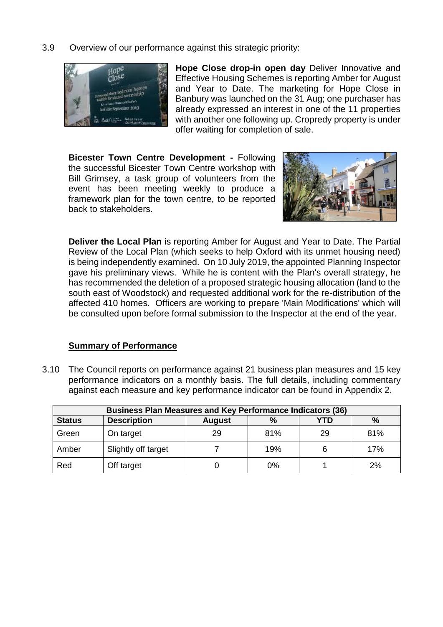3.9 Overview of our performance against this strategic priority:



**Hope Close drop-in open day** Deliver Innovative and Effective Housing Schemes is reporting Amber for August and Year to Date. The marketing for Hope Close in Banbury was launched on the 31 Aug; one purchaser has already expressed an interest in one of the 11 properties with another one following up. Cropredy property is under offer waiting for completion of sale.

**Bicester Town Centre Development -** Following the successful Bicester Town Centre workshop with Bill Grimsey, a task group of volunteers from the event has been meeting weekly to produce a framework plan for the town centre, to be reported back to stakeholders.



**Deliver the Local Plan** is reporting Amber for August and Year to Date. The Partial Review of the Local Plan (which seeks to help Oxford with its unmet housing need) is being independently examined. On 10 July 2019, the appointed Planning Inspector gave his preliminary views. While he is content with the Plan's overall strategy, he has recommended the deletion of a proposed strategic housing allocation (land to the south east of Woodstock) and requested additional work for the re-distribution of the affected 410 homes. Officers are working to prepare 'Main Modifications' which will be consulted upon before formal submission to the Inspector at the end of the year.

### **Summary of Performance**

3.10 The Council reports on performance against 21 business plan measures and 15 key performance indicators on a monthly basis. The full details, including commentary against each measure and key performance indicator can be found in Appendix 2.

| <b>Business Plan Measures and Key Performance Indicators (36)</b> |                                                            |    |     |    |     |  |  |  |  |
|-------------------------------------------------------------------|------------------------------------------------------------|----|-----|----|-----|--|--|--|--|
| <b>Status</b>                                                     | <b>Description</b><br>$\%$<br>YTD<br>$\%$<br><b>August</b> |    |     |    |     |  |  |  |  |
| Green                                                             | On target                                                  | 29 | 81% | 29 | 81% |  |  |  |  |
| Amber                                                             | Slightly off target                                        |    | 19% | 6  | 17% |  |  |  |  |
| Red                                                               | Off target                                                 |    | 0%  |    | 2%  |  |  |  |  |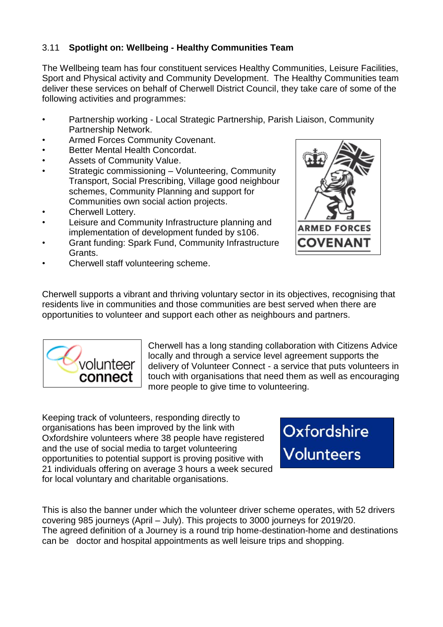## 3.11 **Spotlight on: Wellbeing - Healthy Communities Team**

The Wellbeing team has four constituent services Healthy Communities, Leisure Facilities, Sport and Physical activity and Community Development. The Healthy Communities team deliver these services on behalf of Cherwell District Council, they take care of some of the following activities and programmes:

- Partnership working Local Strategic Partnership, Parish Liaison, Community Partnership Network.
- Armed Forces Community Covenant.
- Better Mental Health Concordat.
- Assets of Community Value.
- Strategic commissioning Volunteering, Community Transport, Social Prescribing, Village good neighbour schemes, Community Planning and support for Communities own social action projects.
- Cherwell Lottery.
- Leisure and Community Infrastructure planning and implementation of development funded by s106.
- Grant funding: Spark Fund, Community Infrastructure Grants.
- Cherwell staff volunteering scheme.



Cherwell supports a vibrant and thriving voluntary sector in its objectives, recognising that residents live in communities and those communities are best served when there are opportunities to volunteer and support each other as neighbours and partners.



Cherwell has a long standing collaboration with Citizens Advice locally and through a service level agreement supports the delivery of Volunteer Connect - a service that puts volunteers in touch with organisations that need them as well as encouraging more people to give time to volunteering.

Keeping track of volunteers, responding directly to organisations has been improved by the link with Oxfordshire volunteers where 38 people have registered and the use of social media to target volunteering opportunities to potential support is proving positive with 21 individuals offering on average 3 hours a week secured for local voluntary and charitable organisations.

Oxfordshire **Volunteers** 

This is also the banner under which the volunteer driver scheme operates, with 52 drivers covering 985 journeys (April – July). This projects to 3000 journeys for 2019/20. The agreed definition of a Journey is a round trip home-destination-home and destinations can be doctor and hospital appointments as well leisure trips and shopping.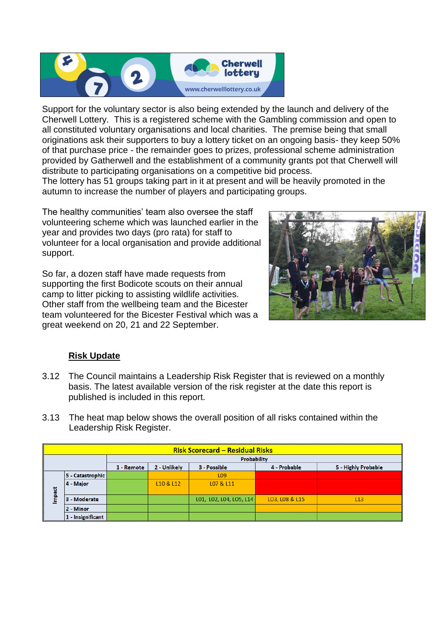

Support for the voluntary sector is also being extended by the launch and delivery of the Cherwell Lottery. This is a registered scheme with the Gambling commission and open to all constituted voluntary organisations and local charities. The premise being that small originations ask their supporters to buy a lottery ticket on an ongoing basis- they keep 50% of that purchase price - the remainder goes to prizes, professional scheme administration provided by Gatherwell and the establishment of a community grants pot that Cherwell will distribute to participating organisations on a competitive bid process.

The lottery has 51 groups taking part in it at present and will be heavily promoted in the autumn to increase the number of players and participating groups.

The healthy communities' team also oversee the staff volunteering scheme which was launched earlier in the year and provides two days (pro rata) for staff to volunteer for a local organisation and provide additional support.

So far, a dozen staff have made requests from supporting the first Bodicote scouts on their annual camp to litter picking to assisting wildlife activities. Other staff from the wellbeing team and the Bicester team volunteered for the Bicester Festival which was a great weekend on 20, 21 and 22 September.



## **Risk Update**

- 3.12 The Council maintains a Leadership Risk Register that is reviewed on a monthly basis. The latest available version of the risk register at the date this report is published is included in this report.
- 3.13 The heat map below shows the overall position of all risks contained within the Leadership Risk Register.

|        | <b>Risk Scorecard - Residual Risks</b> |                                                                                   |           |                         |                |     |  |  |
|--------|----------------------------------------|-----------------------------------------------------------------------------------|-----------|-------------------------|----------------|-----|--|--|
|        |                                        | Probability                                                                       |           |                         |                |     |  |  |
|        |                                        | 5 - Highly Probable<br>2 - Unlikely<br>3 - Possible<br>4 - Probable<br>1 - Remote |           |                         |                |     |  |  |
|        | 5 - Catastrophic                       |                                                                                   |           | L <sub>09</sub>         |                |     |  |  |
|        | 4 - Major                              |                                                                                   | L10 & L12 | L07 & L11               |                |     |  |  |
| Impact | 3 - Moderate                           |                                                                                   |           | L01, L02, L04, L05, L14 | LO3, LO8 & L15 | L13 |  |  |
|        | 2 - Minor                              |                                                                                   |           |                         |                |     |  |  |
|        | 1 - Insignificant                      |                                                                                   |           |                         |                |     |  |  |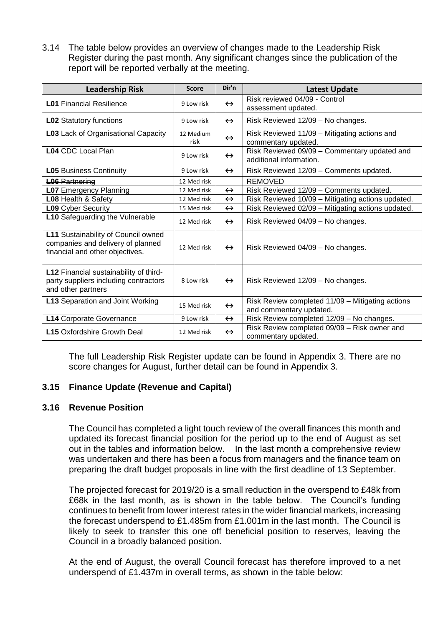3.14 The table below provides an overview of changes made to the Leadership Risk Register during the past month. Any significant changes since the publication of the report will be reported verbally at the meeting.

| <b>Leadership Risk</b>                                                                                      | <b>Score</b>      | Dir'n             | Latest Update                                                               |
|-------------------------------------------------------------------------------------------------------------|-------------------|-------------------|-----------------------------------------------------------------------------|
| <b>L01 Financial Resilience</b>                                                                             | 9 Low risk        | $\leftrightarrow$ | Risk reviewed 04/09 - Control<br>assessment updated.                        |
| <b>L02 Statutory functions</b>                                                                              | 9 Low risk        | $\leftrightarrow$ | Risk Reviewed 12/09 - No changes.                                           |
| L03 Lack of Organisational Capacity                                                                         | 12 Medium<br>risk | $\leftrightarrow$ | Risk Reviewed 11/09 - Mitigating actions and<br>commentary updated.         |
| <b>L04 CDC Local Plan</b>                                                                                   | 9 Low risk        | $\leftrightarrow$ | Risk Reviewed 09/09 - Commentary updated and<br>additional information.     |
| <b>L05 Business Continuity</b>                                                                              | 9 Low risk        | $\leftrightarrow$ | Risk Reviewed 12/09 - Comments updated.                                     |
| <b>L06 Partnering</b>                                                                                       | 12 Med risk       |                   | <b>REMOVED</b>                                                              |
| <b>L07</b> Emergency Planning                                                                               | 12 Med risk       | $\leftrightarrow$ | Risk Reviewed 12/09 - Comments updated.                                     |
| L08 Health & Safety                                                                                         | 12 Med risk       | $\leftrightarrow$ | Risk Reviewed 10/09 - Mitigating actions updated.                           |
| <b>L09</b> Cyber Security                                                                                   | 15 Med risk       | $\leftrightarrow$ | Risk Reviewed 02/09 - Mitigating actions updated.                           |
| <b>L10</b> Safeguarding the Vulnerable                                                                      | 12 Med risk       | $\leftrightarrow$ | Risk Reviewed 04/09 - No changes.                                           |
| L11 Sustainability of Council owned<br>companies and delivery of planned<br>financial and other objectives. | 12 Med risk       | $\leftrightarrow$ | Risk Reviewed 04/09 - No changes.                                           |
| L12 Financial sustainability of third-<br>party suppliers including contractors<br>and other partners       | 8 I ow risk       | $\leftrightarrow$ | Risk Reviewed 12/09 - No changes.                                           |
| L13 Separation and Joint Working                                                                            | 15 Med risk       | $\leftrightarrow$ | Risk Review completed 11/09 - Mitigating actions<br>and commentary updated. |
| L14 Corporate Governance                                                                                    | 9 Low risk        | $\leftrightarrow$ | Risk Review completed 12/09 - No changes.                                   |
| <b>L15</b> Oxfordshire Growth Deal                                                                          | 12 Med risk       | $\leftrightarrow$ | Risk Review completed 09/09 - Risk owner and<br>commentary updated.         |

The full Leadership Risk Register update can be found in Appendix 3. There are no score changes for August, further detail can be found in Appendix 3.

### **3.15 Finance Update (Revenue and Capital)**

### **3.16 Revenue Position**

The Council has completed a light touch review of the overall finances this month and updated its forecast financial position for the period up to the end of August as set out in the tables and information below. In the last month a comprehensive review was undertaken and there has been a focus from managers and the finance team on preparing the draft budget proposals in line with the first deadline of 13 September.

The projected forecast for 2019/20 is a small reduction in the overspend to £48k from £68k in the last month, as is shown in the table below. The Council's funding continues to benefit from lower interest rates in the wider financial markets, increasing the forecast underspend to £1.485m from £1.001m in the last month. The Council is likely to seek to transfer this one off beneficial position to reserves, leaving the Council in a broadly balanced position.

At the end of August, the overall Council forecast has therefore improved to a net underspend of £1.437m in overall terms, as shown in the table below: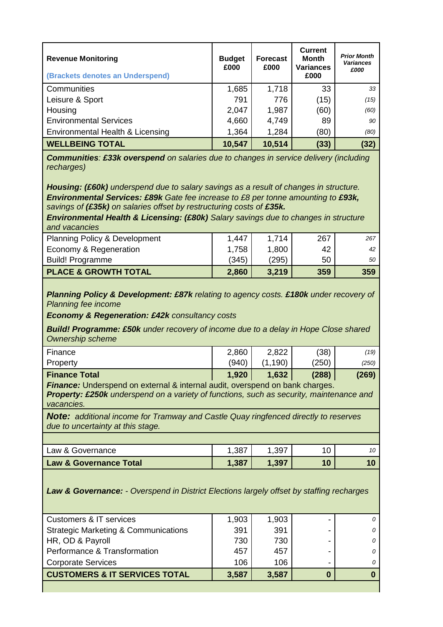| <b>Revenue Monitoring</b><br>(Brackets denotes an Underspend) | <b>Budget</b><br>£000 | <b>Forecast</b><br>£000 | <b>Current</b><br><b>Month</b><br><b>Variances</b><br>£000 | <b>Prior Month</b><br><b>Variances</b><br>£000 |
|---------------------------------------------------------------|-----------------------|-------------------------|------------------------------------------------------------|------------------------------------------------|
| Communities                                                   | 1,685                 | 1,718                   | 33                                                         | 33                                             |
| Leisure & Sport                                               | 791                   | 776                     | (15)                                                       | (15)                                           |
| Housing                                                       | 2,047                 | 1,987                   | (60)                                                       | (60)                                           |
| <b>Environmental Services</b>                                 | 4,660                 | 4,749                   | 89                                                         | 90                                             |
| Environmental Health & Licensing                              | 1,364                 | 1,284                   | (80)                                                       | (80)                                           |
| <b>WELLBEING TOTAL</b>                                        | 10,547                | 10,514                  | (33)                                                       | (32)                                           |

*Communities: £33k overspend on salaries due to changes in service delivery (including recharges)*

*Housing: (£60k) underspend due to salary savings as a result of changes in structure. Environmental Services: £89k Gate fee increase to £8 per tonne amounting to £93k, savings of (£35k) on salaries offset by restructuring costs of £35k.*

*Environmental Health & Licensing: (£80k) Salary savings due to changes in structure and vacancies*

| Economy & Regeneration          | 1,758 | 1,800 | 42  | 42  |
|---------------------------------|-------|-------|-----|-----|
| <b>Build! Programme</b>         | (345) | (295) | 50  | 50  |
| <b>PLACE &amp; GROWTH TOTAL</b> | 2,860 | 3.219 | 359 | 359 |

*Planning Policy & Development: £87k relating to agency costs. £180k under recovery of Planning fee income*

*Economy & Regeneration: £42k consultancy costs*

*Build! Programme: £50k under recovery of income due to a delay in Hope Close shared Ownership scheme*

| 1,920<br><b>Finance Total</b> | 1,632      | (288) | (269) |
|-------------------------------|------------|-------|-------|
| (940)<br>Property             | 190)<br>11 | (250) | (250) |
| Finance<br>2,860              | 2,822      | (38)  | (19)  |

**Finance:** Underspend on external & internal audit, overspend on bank charges.

*Property: £250k underspend on a variety of functions, such as security, maintenance and vacancies.* 

*Note: additional income for Tramway and Castle Quay ringfenced directly to reserves due to uncertainty at this stage.*

| Law & Governance Total | , 387        | ,397 | 10 |    |
|------------------------|--------------|------|----|----|
| Law & Governance       | ാഠా<br>ו טט. | .397 |    | 10 |
|                        |              |      |    |    |

*Law & Governance: - Overspend in District Elections largely offset by staffing recharges* 

| <b>Customers &amp; IT services</b>              | 1,903 | 1,903 | 0 |
|-------------------------------------------------|-------|-------|---|
| <b>Strategic Marketing &amp; Communications</b> | 391   | 391   | 0 |
| HR, OD & Payroll                                | 730   | 730   | 0 |
| Performance & Transformation                    | 457   | 457   | 0 |
| <b>Corporate Services</b>                       | 106   | 106   | 0 |
| <b>CUSTOMERS &amp; IT SERVICES TOTAL</b>        | 3,587 | 3,587 |   |
|                                                 |       |       |   |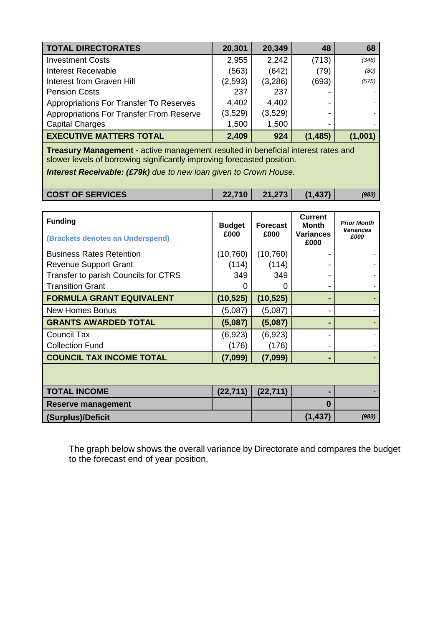| <b>TOTAL DIRECTORATES</b>                | 20,301  | 20,349  | 48       | 68      |
|------------------------------------------|---------|---------|----------|---------|
| <b>Investment Costs</b>                  | 2,955   | 2,242   | (713)    | (346)   |
| <b>Interest Receivable</b>               | (563)   | (642)   | (79)     | (80)    |
| Interest from Graven Hill                | (2,593) | (3,286) | (693)    | (575)   |
| <b>Pension Costs</b>                     | 237     | 237     |          |         |
| Appropriations For Transfer To Reserves  | 4,402   | 4,402   |          |         |
| Appropriations For Transfer From Reserve | (3,529) | (3,529) |          |         |
| <b>Capital Charges</b>                   | 1,500   | 1,500   |          |         |
| <b>EXECUTIVE MATTERS TOTAL</b>           | 2,409   | 924     | (1, 485) | (1,001) |

**Treasury Management -** active management resulted in beneficial interest rates and slower levels of borrowing significantly improving forecasted position.

*Interest Receivable: (£79k) due to new loan given to Crown House.*

|  | <b>COST OF SERVICES</b> | 22,710 | 21,273 | (1, 437) | (983) |
|--|-------------------------|--------|--------|----------|-------|
|--|-------------------------|--------|--------|----------|-------|

| <b>Funding</b><br>(Brackets denotes an Underspend) | <b>Budget</b><br>£000 | <b>Forecast</b><br>£000 | <b>Current</b><br><b>Month</b><br><b>Variances</b><br>£000 | <b>Prior Month</b><br><b>Variances</b><br>£000 |
|----------------------------------------------------|-----------------------|-------------------------|------------------------------------------------------------|------------------------------------------------|
| <b>Business Rates Retention</b>                    | (10, 760)             | (10, 760)               |                                                            |                                                |
| <b>Revenue Support Grant</b>                       | (114)                 | (114)                   |                                                            |                                                |
| Transfer to parish Councils for CTRS               | 349                   | 349                     |                                                            |                                                |
| <b>Transition Grant</b>                            | 0                     | $\mathbf{0}$            |                                                            |                                                |
| <b>FORMULA GRANT EQUIVALENT</b>                    | (10, 525)             | (10, 525)               |                                                            |                                                |
| <b>New Homes Bonus</b>                             | (5,087)               | (5,087)                 |                                                            |                                                |
| <b>GRANTS AWARDED TOTAL</b>                        | (5,087)               | (5,087)                 | -                                                          |                                                |
| Council Tax                                        | (6,923)               | (6,923)                 |                                                            |                                                |
| <b>Collection Fund</b>                             | (176)                 | (176)                   |                                                            |                                                |
| <b>COUNCIL TAX INCOME TOTAL</b>                    | (7,099)               | (7,099)                 | -                                                          |                                                |
|                                                    |                       |                         |                                                            |                                                |
| <b>TOTAL INCOME</b>                                | (22, 711)             | (22, 711)               |                                                            |                                                |
| <b>Reserve management</b>                          |                       |                         | O                                                          |                                                |
| (Surplus)/Deficit                                  |                       |                         | (1, 437)                                                   | (983)                                          |

The graph below shows the overall variance by Directorate and compares the budget to the forecast end of year position.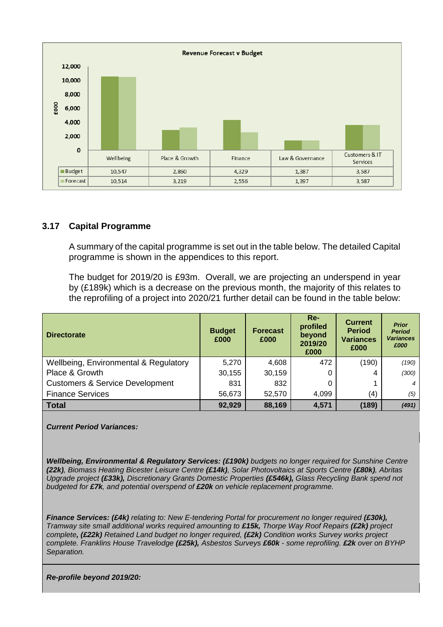

### **3.17 Capital Programme**

A summary of the capital programme is set out in the table below. The detailed Capital programme is shown in the appendices to this report.

The budget for 2019/20 is £93m. Overall, we are projecting an underspend in year by (£189k) which is a decrease on the previous month, the majority of this relates to the reprofiling of a project into 2020/21 further detail can be found in the table below:

| <b>Directorate</b>                         | <b>Budget</b><br>£000 | <b>Forecast</b><br>£000 | $Re-$<br>profiled<br>beyond<br>2019/20<br>£000 | <b>Current</b><br><b>Period</b><br><b>Variances</b><br>£000 | <b>Prior</b><br><b>Period</b><br><b>Variances</b><br>£000 |
|--------------------------------------------|-----------------------|-------------------------|------------------------------------------------|-------------------------------------------------------------|-----------------------------------------------------------|
| Wellbeing, Environmental & Regulatory      | 5,270                 | 4,608                   | 472                                            | (190)                                                       | (190)                                                     |
| Place & Growth                             | 30,155                | 30,159                  |                                                | 4                                                           | (300)                                                     |
| <b>Customers &amp; Service Development</b> | 831                   | 832                     |                                                |                                                             |                                                           |
| <b>Finance Services</b>                    | 56,673                | 52,570                  | 4,099                                          | (4)                                                         | (5)                                                       |
| <b>Total</b>                               | 92,929                | 88,169                  | 4,571                                          | (189)                                                       | (491)                                                     |

#### *Current Period Variances:*

**Wellbeing, Environmental & Regulatory Services: (£190k)** budgets no longer required for Sunshine Centre *(22k), Biomass Heating Bicester Leisure Centre (£14k), Solar Photovoltaics at Sports Centre (£80k), Abritas Upgrade project (£33k), Discretionary Grants Domestic Properties (£546k), Glass Recycling Bank spend not budgeted for £7k, and potential overspend of £20k on vehicle replacement programme.*

*Finance Services: (£4k) relating to: New E-tendering Portal for procurement no longer required (£30k), Tramway site small additional works required amounting to £15k, Thorpe Way Roof Repairs (£2k) project complete, (£22k) Retained Land budget no longer required, (£2k) Condition works Survey works project complete. Franklins House Travelodge (£25k), Asbestos Surveys £60k - some reprofiling. £2k over on BYHP Separation.*

*Re-profile beyond 2019/20:*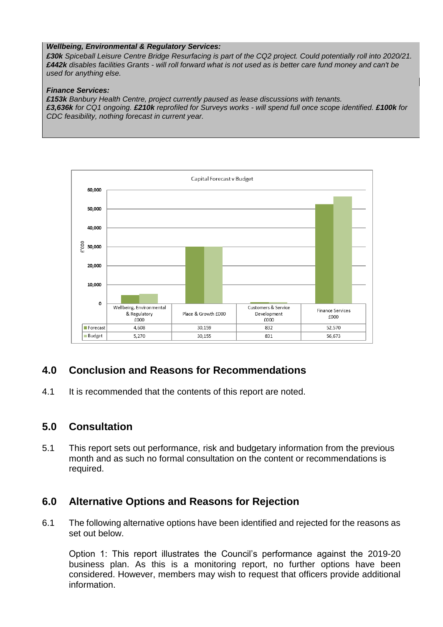#### *Wellbeing, Environmental & Regulatory Services:*

*£30k Spiceball Leisure Centre Bridge Resurfacing is part of the CQ2 project. Could potentially roll into 2020/21. £442k disables facilities Grants - will roll forward what is not used as is better care fund money and can't be used for anything else.*

#### *Finance Services:*

*£153k Banbury Health Centre, project currently paused as lease discussions with tenants. £3,636k for CQ1 ongoing. £210k reprofiled for Surveys works - will spend full once scope identified. £100k for CDC feasibility, nothing forecast in current year.*



## **4.0 Conclusion and Reasons for Recommendations**

4.1 It is recommended that the contents of this report are noted.

## **5.0 Consultation**

5.1 This report sets out performance, risk and budgetary information from the previous month and as such no formal consultation on the content or recommendations is required.

## **6.0 Alternative Options and Reasons for Rejection**

6.1 The following alternative options have been identified and rejected for the reasons as set out below.

Option 1: This report illustrates the Council's performance against the 2019-20 business plan. As this is a monitoring report, no further options have been considered. However, members may wish to request that officers provide additional information.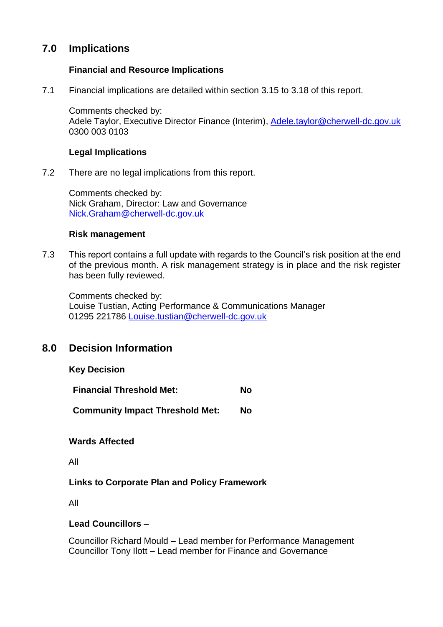## **7.0 Implications**

### **Financial and Resource Implications**

7.1 Financial implications are detailed within section 3.15 to 3.18 of this report.

Comments checked by: Adele Taylor, Executive Director Finance (Interim), [Adele.taylor@cherwell-dc.gov.uk](mailto:Adele.taylor@cherwell-dc.gov.uk) 0300 003 0103

### **Legal Implications**

7.2 There are no legal implications from this report.

Comments checked by: Nick Graham, Director: Law and Governance [Nick.Graham@cherwell-dc.gov.uk](mailto:Nick.Graham@cherwell-dc.gov.uk)

### **Risk management**

7.3 This report contains a full update with regards to the Council's risk position at the end of the previous month. A risk management strategy is in place and the risk register has been fully reviewed.

Comments checked by: Louise Tustian, Acting Performance & Communications Manager 01295 221786 [Louise.tustian@cherwell-dc.gov.uk](mailto:Louise.tustian@cherwell-dc.gov.uk)

## **8.0 Decision Information**

| <b>Key Decision</b> |  |
|---------------------|--|
|---------------------|--|

| <b>Financial Threshold Met:</b>        |    |  |
|----------------------------------------|----|--|
| <b>Community Impact Threshold Met:</b> | No |  |

### **Wards Affected**

All

### **Links to Corporate Plan and Policy Framework**

All

### **Lead Councillors –**

Councillor Richard Mould – Lead member for Performance Management Councillor Tony Ilott – Lead member for Finance and Governance